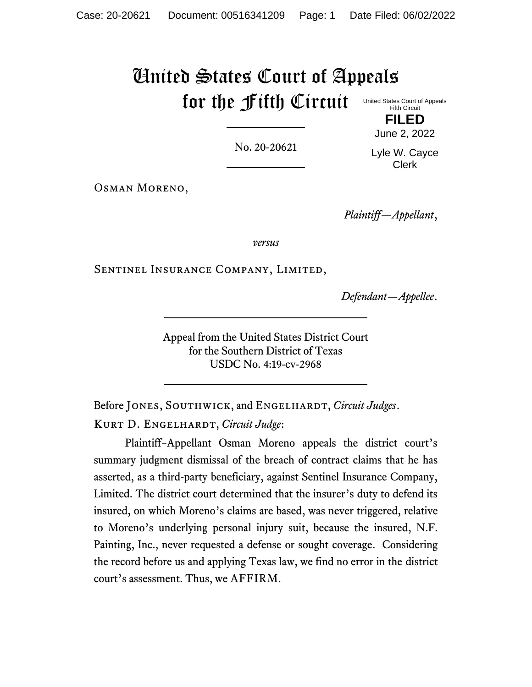# United States Court of Appeals for the Fifth Circuit

No. 20-20621

June 2, 2022 Lyle W. Cayce Clerk

Osman Moreno,

*Plaintiff—Appellant*,

*versus*

Sentinel Insurance Company, Limited,

*Defendant—Appellee*.

Appeal from the United States District Court for the Southern District of Texas USDC No. 4:19-cv-2968

Before JONES, SOUTHWICK, and ENGELHARDT, *Circuit Judges*. Kurt D. Engelhardt, *Circuit Judge*:

Plaintiff–Appellant Osman Moreno appeals the district court's summary judgment dismissal of the breach of contract claims that he has asserted, as a third-party beneficiary, against Sentinel Insurance Company, Limited. The district court determined that the insurer's duty to defend its insured, on which Moreno's claims are based, was never triggered, relative to Moreno's underlying personal injury suit, because the insured, N.F. Painting, Inc., never requested a defense or sought coverage. Considering the record before us and applying Texas law, we find no error in the district court's assessment. Thus, we AFFIRM.

United States Court of Appeals Fifth Circuit **FILED**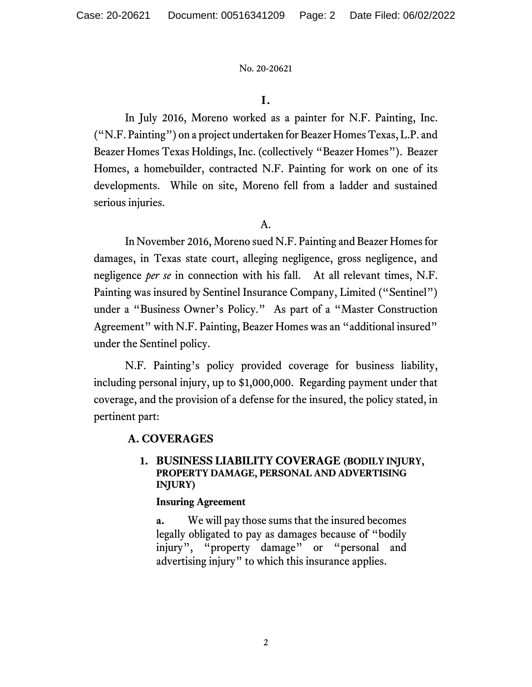## **I.**

In July 2016, Moreno worked as a painter for N.F. Painting, Inc. ("N.F. Painting") on a project undertaken for Beazer Homes Texas, L.P. and Beazer Homes Texas Holdings, Inc. (collectively "Beazer Homes"). Beazer Homes, a homebuilder, contracted N.F. Painting for work on one of its developments. While on site, Moreno fell from a ladder and sustained serious injuries.

## A.

In November 2016, Moreno sued N.F. Painting and Beazer Homes for damages, in Texas state court, alleging negligence, gross negligence, and negligence *per se* in connection with his fall. At all relevant times, N.F. Painting was insured by Sentinel Insurance Company, Limited ("Sentinel") under a "Business Owner's Policy." As part of a "Master Construction Agreement" with N.F. Painting, Beazer Homes was an "additional insured" under the Sentinel policy.

N.F. Painting's policy provided coverage for business liability, including personal injury, up to \$1,000,000. Regarding payment under that coverage, and the provision of a defense for the insured, the policy stated, in pertinent part:

# **A. COVERAGES**

## **1. BUSINESS LIABILITY COVERAGE (BODILY INJURY, PROPERTY DAMAGE, PERSONAL AND ADVERTISING INJURY)**

### **Insuring Agreement**

**a.** We will pay those sums that the insured becomes legally obligated to pay as damages because of "bodily injury", "property damage" or "personal and advertising injury" to which this insurance applies.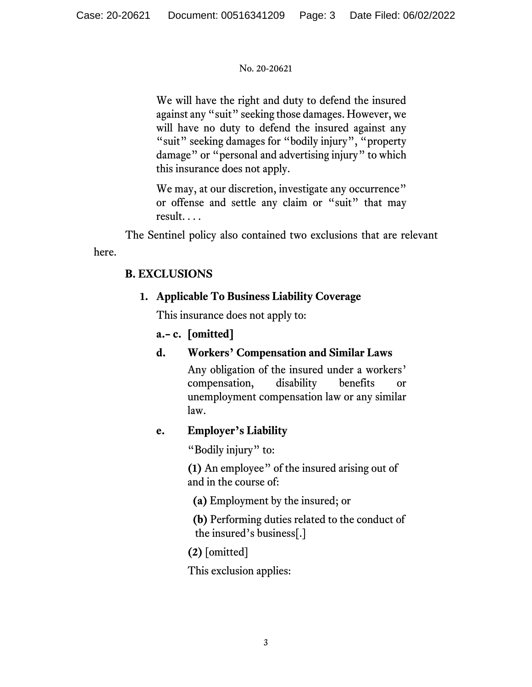We will have the right and duty to defend the insured against any "suit" seeking those damages. However, we will have no duty to defend the insured against any "suit" seeking damages for "bodily injury", "property damage" or "personal and advertising injury" to which this insurance does not apply.

We may, at our discretion, investigate any occurrence" or offense and settle any claim or "suit" that may result. . . .

The Sentinel policy also contained two exclusions that are relevant here.

# **B. EXCLUSIONS**

# **1. Applicable To Business Liability Coverage**

This insurance does not apply to:

# **a.– c. [omitted]**

# **d. Workers' Compensation and Similar Laws**

Any obligation of the insured under a workers' compensation, disability benefits or unemployment compensation law or any similar law.

# **e. Employer's Liability**

"Bodily injury" to:

**(1)** An employee" of the insured arising out of and in the course of:

**(a)** Employment by the insured; or

 **(b)** Performing duties related to the conduct of the insured's business[.]

**(2)** [omitted]

This exclusion applies: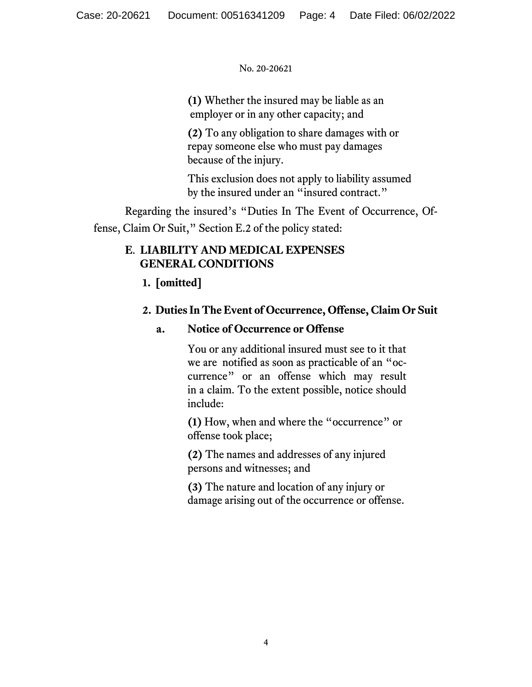**(1)** Whether the insured may be liable as an employer or in any other capacity; and

**(2)** To any obligation to share damages with or repay someone else who must pay damages because of the injury.

This exclusion does not apply to liability assumed by the insured under an "insured contract."

Regarding the insured's "Duties In The Event of Occurrence, Offense, Claim Or Suit," Section E.2 of the policy stated:

# **E**. **LIABILITY AND MEDICAL EXPENSES GENERAL CONDITIONS**

 **1. [omitted]**

# **2. Duties In The Event of Occurrence, Offense, Claim Or Suit**

# **a. Notice of Occurrence or Offense**

You or any additional insured must see to it that we are notified as soon as practicable of an "occurrence" or an offense which may result in a claim. To the extent possible, notice should include:

**(1)** How, when and where the "occurrence" or offense took place;

**(2)** The names and addresses of any injured persons and witnesses; and

**(3)** The nature and location of any injury or damage arising out of the occurrence or offense.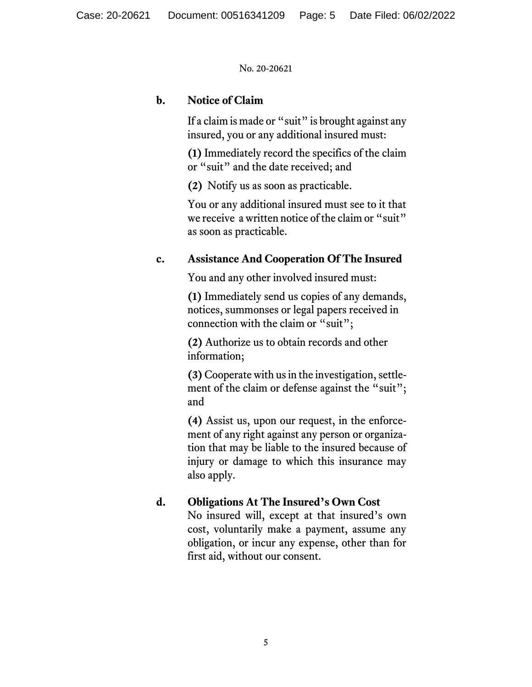## **b. Notice of Claim**

If a claim is made or "suit" is brought against any insured, you or any additional insured must:

**(1)** Immediately record the specifics of the claim or "suit" and the date received; and

**(2)** Notify us as soon as practicable.

You or any additional insured must see to it that we receive a written notice of the claim or "suit" as soon as practicable.

# **c. Assistance And Cooperation Of The Insured**

You and any other involved insured must:

**(1)** Immediately send us copies of any demands, notices, summonses or legal papers received in connection with the claim or "suit";

**(2)** Authorize us to obtain records and other information;

**(3)** Cooperate with us in the investigation, settlement of the claim or defense against the "suit"; and

**(4)** Assist us, upon our request, in the enforcement of any right against any person or organization that may be liable to the insured because of injury or damage to which this insurance may also apply.

# **d. Obligations At The Insured's Own Cost**

No insured will, except at that insured's own cost, voluntarily make a payment, assume any obligation, or incur any expense, other than for first aid, without our consent.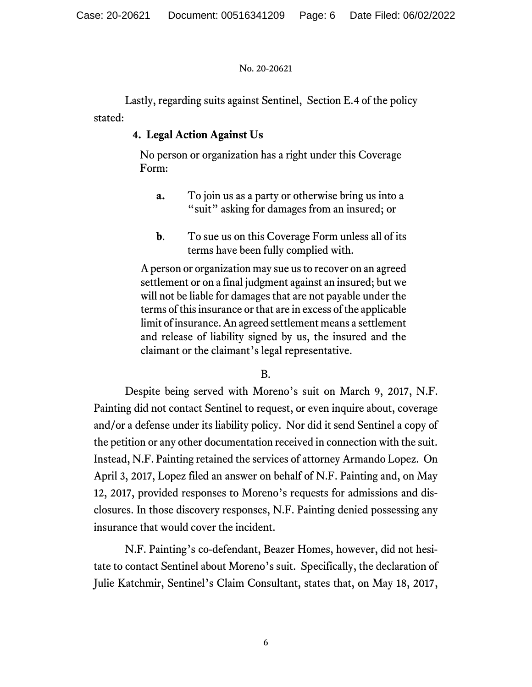Lastly, regarding suits against Sentinel, Section E.4 of the policy stated:

# **4. Legal Action Against Us**

 No person or organization has a right under this Coverage Form:

- **a.** To join us as a party or otherwise bring us into a "suit" asking for damages from an insured; or
- **b**. To sue us on this Coverage Form unless all of its terms have been fully complied with.

A person or organization may sue us to recover on an agreed settlement or on a final judgment against an insured; but we will not be liable for damages that are not payable under the terms of this insurance or that are in excess of the applicable limit of insurance. An agreed settlement means a settlement and release of liability signed by us, the insured and the claimant or the claimant's legal representative.

B.

Despite being served with Moreno's suit on March 9, 2017, N.F. Painting did not contact Sentinel to request, or even inquire about, coverage and/or a defense under its liability policy. Nor did it send Sentinel a copy of the petition or any other documentation received in connection with the suit. Instead, N.F. Painting retained the services of attorney Armando Lopez. On April 3, 2017, Lopez filed an answer on behalf of N.F. Painting and, on May 12, 2017, provided responses to Moreno's requests for admissions and disclosures. In those discovery responses, N.F. Painting denied possessing any insurance that would cover the incident.

N.F. Painting's co-defendant, Beazer Homes, however, did not hesitate to contact Sentinel about Moreno's suit. Specifically, the declaration of Julie Katchmir, Sentinel's Claim Consultant, states that, on May 18, 2017,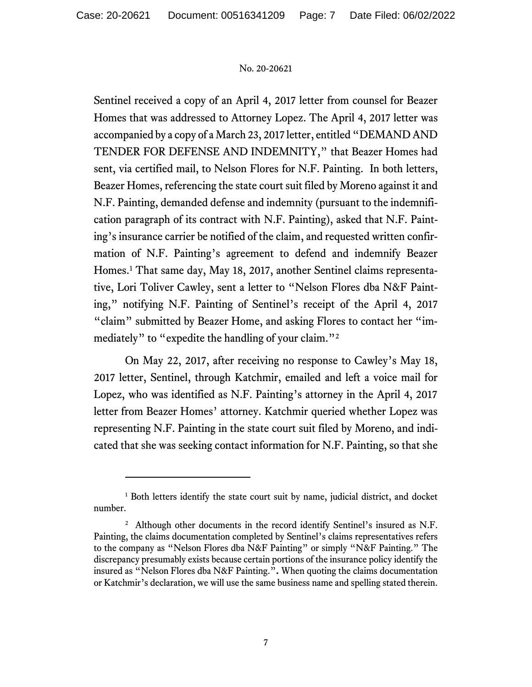Sentinel received a copy of an April 4, 2017 letter from counsel for Beazer Homes that was addressed to Attorney Lopez. The April 4, 2017 letter was accompanied by a copy of a March 23, 2017 letter, entitled "DEMAND AND TENDER FOR DEFENSE AND INDEMNITY," that Beazer Homes had sent, via certified mail, to Nelson Flores for N.F. Painting. In both letters, Beazer Homes, referencing the state court suit filed by Moreno against it and N.F. Painting, demanded defense and indemnity (pursuant to the indemnification paragraph of its contract with N.F. Painting), asked that N.F. Painting's insurance carrier be notified of the claim, and requested written confirmation of N.F. Painting's agreement to defend and indemnify Beazer Homes.<sup>1</sup> That same day, May 18, 2017, another Sentinel claims representative, Lori Toliver Cawley, sent a letter to "Nelson Flores dba N&F Painting," notifying N.F. Painting of Sentinel's receipt of the April 4, 2017 "claim" submitted by Beazer Home, and asking Flores to contact her "immediately" to "expedite the handling of your claim."<sup>2</sup>

On May 22, 2017, after receiving no response to Cawley's May 18, 2017 letter, Sentinel, through Katchmir, emailed and left a voice mail for Lopez, who was identified as N.F. Painting's attorney in the April 4, 2017 letter from Beazer Homes' attorney. Katchmir queried whether Lopez was representing N.F. Painting in the state court suit filed by Moreno, and indicated that she was seeking contact information for N.F. Painting, so that she

<sup>&</sup>lt;sup>1</sup> Both letters identify the state court suit by name, judicial district, and docket number.

<sup>&</sup>lt;sup>2</sup> Although other documents in the record identify Sentinel's insured as N.F. Painting, the claims documentation completed by Sentinel's claims representatives refers to the company as "Nelson Flores dba N&F Painting" or simply "N&F Painting." The discrepancy presumably exists because certain portions of the insurance policy identify the insured as "Nelson Flores dba N&F Painting."**.** When quoting the claims documentation or Katchmir's declaration, we will use the same business name and spelling stated therein.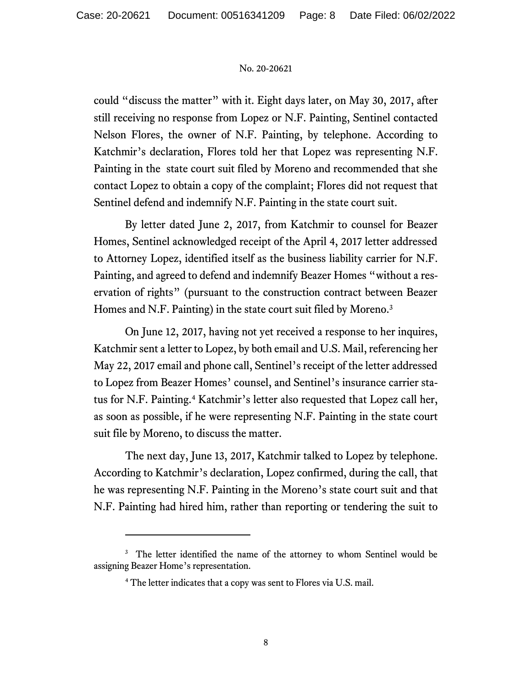could "discuss the matter" with it. Eight days later, on May 30, 2017, after still receiving no response from Lopez or N.F. Painting, Sentinel contacted Nelson Flores, the owner of N.F. Painting, by telephone. According to Katchmir's declaration, Flores told her that Lopez was representing N.F. Painting in the state court suit filed by Moreno and recommended that she contact Lopez to obtain a copy of the complaint; Flores did not request that Sentinel defend and indemnify N.F. Painting in the state court suit.

By letter dated June 2, 2017, from Katchmir to counsel for Beazer Homes, Sentinel acknowledged receipt of the April 4, 2017 letter addressed to Attorney Lopez, identified itself as the business liability carrier for N.F. Painting, and agreed to defend and indemnify Beazer Homes "without a reservation of rights" (pursuant to the construction contract between Beazer Homes and N.F. Painting) in the state court suit filed by Moreno.<sup>3</sup>

On June 12, 2017, having not yet received a response to her inquires, Katchmir sent a letter to Lopez, by both email and U.S. Mail, referencing her May 22, 2017 email and phone call, Sentinel's receipt of the letter addressed to Lopez from Beazer Homes' counsel, and Sentinel's insurance carrier status for N.F. Painting. <sup>4</sup> Katchmir's letter also requested that Lopez call her, as soon as possible, if he were representing N.F. Painting in the state court suit file by Moreno, to discuss the matter.

The next day, June 13, 2017, Katchmir talked to Lopez by telephone. According to Katchmir's declaration, Lopez confirmed, during the call, that he was representing N.F. Painting in the Moreno's state court suit and that N.F. Painting had hired him, rather than reporting or tendering the suit to

<sup>&</sup>lt;sup>3</sup> The letter identified the name of the attorney to whom Sentinel would be assigning Beazer Home's representation.

<sup>&</sup>lt;sup>4</sup> The letter indicates that a copy was sent to Flores via U.S. mail.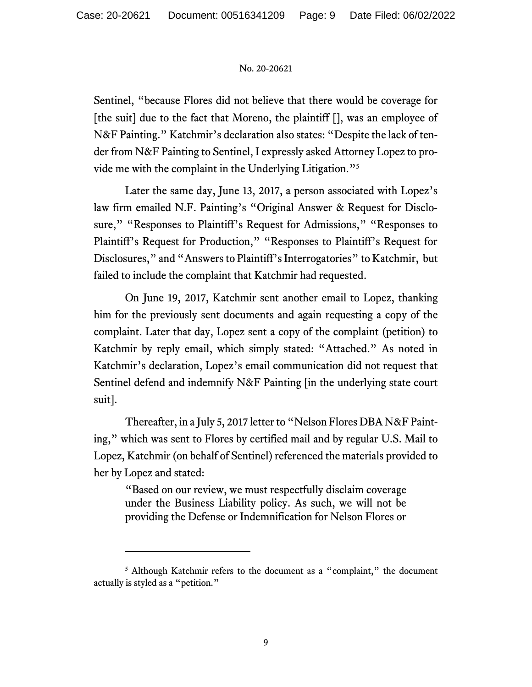Sentinel, "because Flores did not believe that there would be coverage for [the suit] due to the fact that Moreno, the plaintiff [], was an employee of N&F Painting." Katchmir's declaration also states: "Despite the lack of tender from N&F Painting to Sentinel, I expressly asked Attorney Lopez to provide me with the complaint in the Underlying Litigation."<sup>5</sup>

Later the same day, June 13, 2017, a person associated with Lopez's law firm emailed N.F. Painting's "Original Answer & Request for Disclosure," "Responses to Plaintiff's Request for Admissions," "Responses to Plaintiff's Request for Production," "Responses to Plaintiff's Request for Disclosures," and "Answers to Plaintiff's Interrogatories" to Katchmir, but failed to include the complaint that Katchmir had requested.

On June 19, 2017, Katchmir sent another email to Lopez, thanking him for the previously sent documents and again requesting a copy of the complaint. Later that day, Lopez sent a copy of the complaint (petition) to Katchmir by reply email, which simply stated: "Attached." As noted in Katchmir's declaration, Lopez's email communication did not request that Sentinel defend and indemnify N&F Painting [in the underlying state court suit].

Thereafter, in a July 5, 2017 letter to "Nelson Flores DBA N&F Painting," which was sent to Flores by certified mail and by regular U.S. Mail to Lopez, Katchmir (on behalf of Sentinel) referenced the materials provided to her by Lopez and stated:

"Based on our review, we must respectfully disclaim coverage under the Business Liability policy. As such, we will not be providing the Defense or Indemnification for Nelson Flores or

<sup>&</sup>lt;sup>5</sup> Although Katchmir refers to the document as a "complaint," the document actually is styled as a "petition."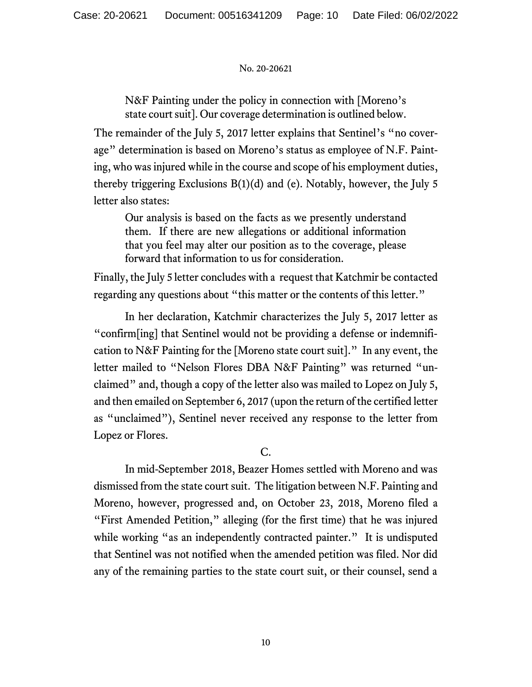N&F Painting under the policy in connection with [Moreno's state court suit]. Our coverage determination is outlined below.

The remainder of the July 5, 2017 letter explains that Sentinel's "no coverage" determination is based on Moreno's status as employee of N.F. Painting, who was injured while in the course and scope of his employment duties, thereby triggering Exclusions B(1)(d) and (e). Notably, however, the July 5 letter also states:

Our analysis is based on the facts as we presently understand them. If there are new allegations or additional information that you feel may alter our position as to the coverage, please forward that information to us for consideration.

Finally, the July 5 letter concludes with a request that Katchmir be contacted regarding any questions about "this matter or the contents of this letter."

In her declaration, Katchmir characterizes the July 5, 2017 letter as "confirm[ing] that Sentinel would not be providing a defense or indemnification to N&F Painting for the [Moreno state court suit]." In any event, the letter mailed to "Nelson Flores DBA N&F Painting" was returned "unclaimed" and, though a copy of the letter also was mailed to Lopez on July 5, and then emailed on September 6, 2017 (upon the return of the certified letter as "unclaimed"), Sentinel never received any response to the letter from Lopez or Flores.

C.

In mid-September 2018, Beazer Homes settled with Moreno and was dismissed from the state court suit. The litigation between N.F. Painting and Moreno, however, progressed and, on October 23, 2018, Moreno filed a "First Amended Petition," alleging (for the first time) that he was injured while working "as an independently contracted painter." It is undisputed that Sentinel was not notified when the amended petition was filed. Nor did any of the remaining parties to the state court suit, or their counsel, send a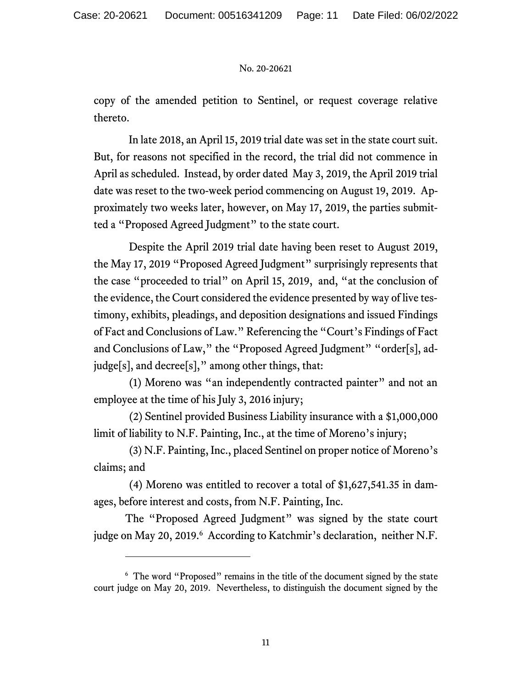copy of the amended petition to Sentinel, or request coverage relative thereto.

In late 2018, an April 15, 2019 trial date was set in the state court suit. But, for reasons not specified in the record, the trial did not commence in April as scheduled. Instead, by order dated May 3, 2019, the April 2019 trial date was reset to the two-week period commencing on August 19, 2019. Approximately two weeks later, however, on May 17, 2019, the parties submitted a "Proposed Agreed Judgment" to the state court.

Despite the April 2019 trial date having been reset to August 2019, the May 17, 2019 "Proposed Agreed Judgment" surprisingly represents that the case "proceeded to trial" on April 15, 2019, and, "at the conclusion of the evidence, the Court considered the evidence presented by way of live testimony, exhibits, pleadings, and deposition designations and issued Findings of Fact and Conclusions of Law." Referencing the "Court's Findings of Fact and Conclusions of Law," the "Proposed Agreed Judgment" "order[s], adjudge[s], and decree[s]," among other things, that:

(1) Moreno was "an independently contracted painter" and not an employee at the time of his July 3, 2016 injury;

(2) Sentinel provided Business Liability insurance with a \$1,000,000 limit of liability to N.F. Painting, Inc., at the time of Moreno's injury;

(3) N.F. Painting, Inc., placed Sentinel on proper notice of Moreno's claims; and

(4) Moreno was entitled to recover a total of \$1,627,541.35 in damages, before interest and costs, from N.F. Painting, Inc.

The "Proposed Agreed Judgment" was signed by the state court judge on May 20, 2019.<sup>6</sup> According to Katchmir's declaration, neither N.F.

<sup>&</sup>lt;sup>6</sup> The word "Proposed" remains in the title of the document signed by the state court judge on May 20, 2019. Nevertheless, to distinguish the document signed by the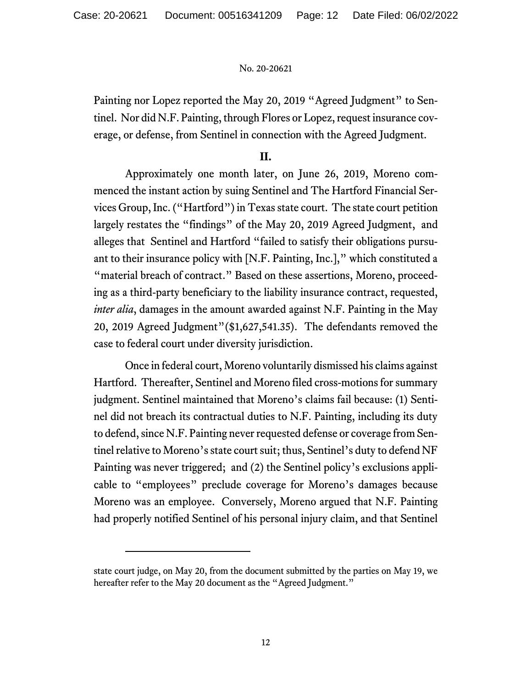Painting nor Lopez reported the May 20, 2019 "Agreed Judgment" to Sentinel. Nor did N.F. Painting, through Flores or Lopez, request insurance coverage, or defense, from Sentinel in connection with the Agreed Judgment.

## **II.**

Approximately one month later, on June 26, 2019, Moreno commenced the instant action by suing Sentinel and The Hartford Financial Services Group, Inc. ("Hartford") in Texas state court. The state court petition largely restates the "findings" of the May 20, 2019 Agreed Judgment, and alleges that Sentinel and Hartford "failed to satisfy their obligations pursuant to their insurance policy with [N.F. Painting, Inc.]," which constituted a "material breach of contract." Based on these assertions, Moreno, proceeding as a third-party beneficiary to the liability insurance contract, requested, *inter alia*, damages in the amount awarded against N.F. Painting in the May 20, 2019 Agreed Judgment"(\$1,627,541.35). The defendants removed the case to federal court under diversity jurisdiction.

Once in federal court, Moreno voluntarily dismissed his claims against Hartford. Thereafter, Sentinel and Moreno filed cross-motions for summary judgment. Sentinel maintained that Moreno's claims fail because: (1) Sentinel did not breach its contractual duties to N.F. Painting, including its duty to defend, since N.F. Painting never requested defense or coverage from Sentinel relative to Moreno's state court suit; thus, Sentinel's duty to defend NF Painting was never triggered; and (2) the Sentinel policy's exclusions applicable to "employees" preclude coverage for Moreno's damages because Moreno was an employee. Conversely, Moreno argued that N.F. Painting had properly notified Sentinel of his personal injury claim, and that Sentinel

state court judge, on May 20, from the document submitted by the parties on May 19, we hereafter refer to the May 20 document as the "Agreed Judgment."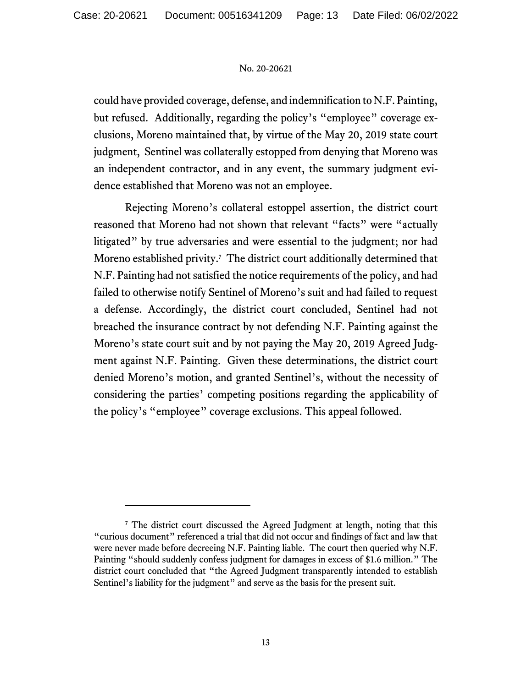could have provided coverage, defense, and indemnification to N.F. Painting, but refused. Additionally, regarding the policy's "employee" coverage exclusions, Moreno maintained that, by virtue of the May 20, 2019 state court judgment, Sentinel was collaterally estopped from denying that Moreno was an independent contractor, and in any event, the summary judgment evidence established that Moreno was not an employee.

Rejecting Moreno's collateral estoppel assertion, the district court reasoned that Moreno had not shown that relevant "facts" were "actually litigated" by true adversaries and were essential to the judgment; nor had Moreno established privity.<sup>7</sup> The district court additionally determined that N.F. Painting had not satisfied the notice requirements of the policy, and had failed to otherwise notify Sentinel of Moreno's suit and had failed to request a defense. Accordingly, the district court concluded, Sentinel had not breached the insurance contract by not defending N.F. Painting against the Moreno's state court suit and by not paying the May 20, 2019 Agreed Judgment against N.F. Painting. Given these determinations, the district court denied Moreno's motion, and granted Sentinel's, without the necessity of considering the parties' competing positions regarding the applicability of the policy's "employee" coverage exclusions. This appeal followed.

<sup>&</sup>lt;sup>7</sup> The district court discussed the Agreed Judgment at length, noting that this "curious document" referenced a trial that did not occur and findings of fact and law that were never made before decreeing N.F. Painting liable. The court then queried why N.F. Painting "should suddenly confess judgment for damages in excess of \$1.6 million." The district court concluded that "the Agreed Judgment transparently intended to establish Sentinel's liability for the judgment" and serve as the basis for the present suit.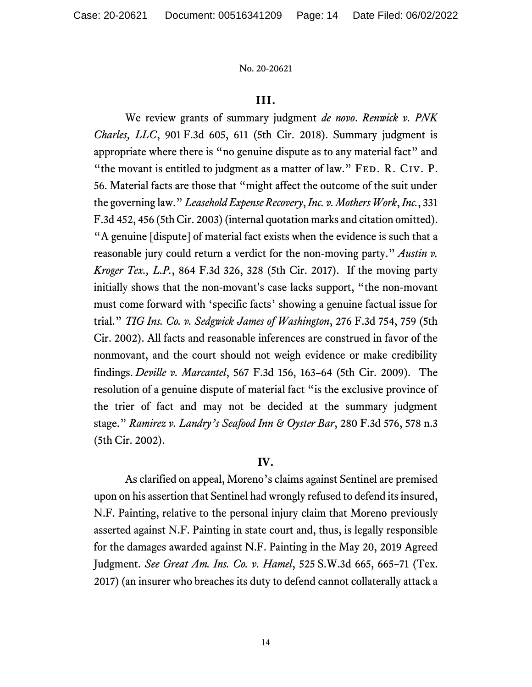## **III.**

We review grants of summary judgment *de novo*. *Renwick v. PNK Charles, LLC*, 901 F.3d 605, 611 (5th Cir. 2018). Summary judgment is appropriate where there is "no genuine dispute as to any material fact" and "the movant is entitled to judgment as a matter of law." FED. R. CIV. P. 56. Material facts are those that "might affect the outcome of the suit under the governing law." *Leasehold Expense Recovery*, *Inc. v. Mothers Work*, *Inc.*, 331 F.3d 452, 456 (5th Cir. 2003) (internal quotation marks and citation omitted). "A genuine [dispute] of material fact exists when the evidence is such that a reasonable jury could return a verdict for the non-moving party." *Austin v. Kroger Tex., L.P.*, 864 F.3d 326, 328 (5th Cir. 2017). If the moving party initially shows that the non-movant's case lacks support, "the non-movant must come forward with 'specific facts' showing a genuine factual issue for trial." *TIG Ins. Co. v. Sedgwick James of Washington*, 276 F.3d 754, 759 (5th Cir. 2002). All facts and reasonable inferences are construed in favor of the nonmovant, and the court should not weigh evidence or make credibility findings. *Deville v. Marcantel*, 567 F.3d 156, 163–64 (5th Cir. 2009). The resolution of a genuine dispute of material fact "is the exclusive province of the trier of fact and may not be decided at the summary judgment stage." *Ramirez v. Landry's Seafood Inn & Oyster Bar*, 280 F.3d 576, 578 n.3 (5th Cir. 2002).

# **IV.**

As clarified on appeal, Moreno's claims against Sentinel are premised upon on his assertion that Sentinel had wrongly refused to defend its insured, N.F. Painting, relative to the personal injury claim that Moreno previously asserted against N.F. Painting in state court and, thus, is legally responsible for the damages awarded against N.F. Painting in the May 20, 2019 Agreed Judgment. *See Great Am. Ins. Co. v. Hamel*, 525 S.W.3d 665, 665–71 (Tex. 2017) (an insurer who breaches its duty to defend cannot collaterally attack a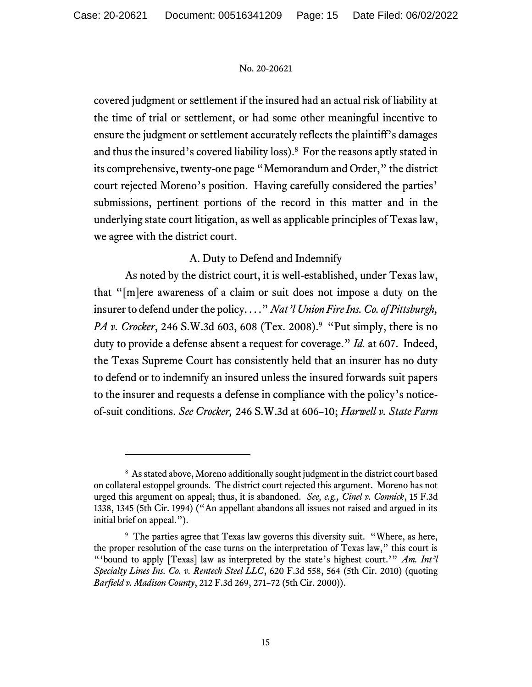covered judgment or settlement if the insured had an actual risk of liability at the time of trial or settlement, or had some other meaningful incentive to ensure the judgment or settlement accurately reflects the plaintiff's damages and thus the insured's covered liability loss). 8 For the reasons aptly stated in its comprehensive, twenty-one page "Memorandum and Order," the district court rejected Moreno's position. Having carefully considered the parties' submissions, pertinent portions of the record in this matter and in the underlying state court litigation, as well as applicable principles of Texas law, we agree with the district court.

# A. Duty to Defend and Indemnify

As noted by the district court, it is well-established, under Texas law, that "[m]ere awareness of a claim or suit does not impose a duty on the insurer to defend under the policy. . . ." *Nat'l Union Fire Ins. Co. of Pittsburgh, PA v. Crocker*, 246 S.W.3d 603, 608 (Tex. 2008).<sup>9</sup> "Put simply, there is no duty to provide a defense absent a request for coverage." *Id.* at 607. Indeed, the Texas Supreme Court has consistently held that an insurer has no duty to defend or to indemnify an insured unless the insured forwards suit papers to the insurer and requests a defense in compliance with the policy's noticeof-suit conditions. *See Crocker,* 246 S.W.3d at 606–10; *Harwell v. State Farm* 

<sup>&</sup>lt;sup>8</sup> As stated above, Moreno additionally sought judgment in the district court based on collateral estoppel grounds. The district court rejected this argument. Moreno has not urged this argument on appeal; thus, it is abandoned. *See, e.g., Cinel v. Connick*, 15 F.3d 1338, 1345 (5th Cir. 1994) ("An appellant abandons all issues not raised and argued in its initial brief on appeal.").

<sup>&</sup>lt;sup>9</sup> The parties agree that Texas law governs this diversity suit. "Where, as here, the proper resolution of the case turns on the interpretation of Texas law," this court is "'bound to apply [Texas] law as interpreted by the state's highest court.'" *Am. Int'l Specialty Lines Ins. Co. v. Rentech Steel LLC*, 620 F.3d 558, 564 (5th Cir. 2010) (quoting *Barfield v. Madison County*, 212 F.3d 269, 271–72 (5th Cir. 2000)).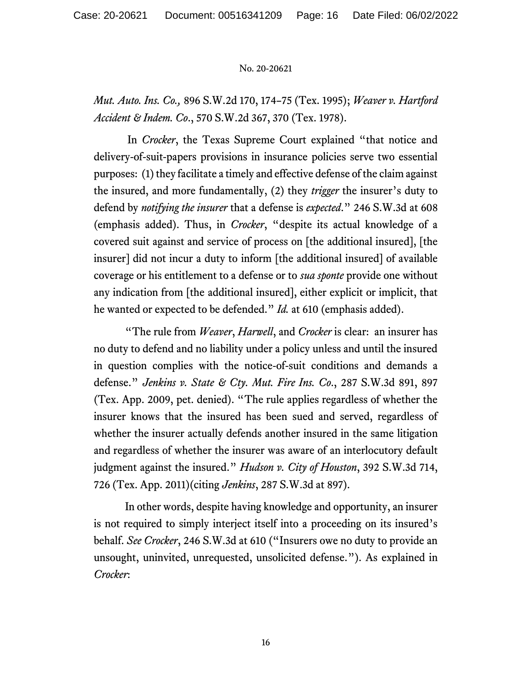*Mut. Auto. Ins. Co.,* 896 S.W.2d 170, 174–75 (Tex. 1995); *Weaver v. Hartford Accident & Indem. Co*., 570 S.W.2d 367, 370 (Tex. 1978).

In *Crocker*, the Texas Supreme Court explained "that notice and delivery-of-suit-papers provisions in insurance policies serve two essential purposes: (1) they facilitate a timely and effective defense of the claim against the insured, and more fundamentally, (2) they *trigger* the insurer's duty to defend by *notifying the insurer* that a defense is *expected*." 246 S.W.3d at 608 (emphasis added). Thus, in *Crocker*, "despite its actual knowledge of a covered suit against and service of process on [the additional insured], [the insurer] did not incur a duty to inform [the additional insured] of available coverage or his entitlement to a defense or to *sua sponte* provide one without any indication from [the additional insured], either explicit or implicit, that he wanted or expected to be defended." *Id.* at 610 (emphasis added).

"The rule from *Weaver*, *Harwell*, and *Crocker* is clear: an insurer has no duty to defend and no liability under a policy unless and until the insured in question complies with the notice-of-suit conditions and demands a defense." *Jenkins v. State & Cty. Mut. Fire Ins. Co*., 287 S.W.3d 891, 897 (Tex. App. 2009, pet. denied). "The rule applies regardless of whether the insurer knows that the insured has been sued and served, regardless of whether the insurer actually defends another insured in the same litigation and regardless of whether the insurer was aware of an interlocutory default judgment against the insured." *Hudson v. City of Houston*, 392 S.W.3d 714, 726 (Tex. App. 2011)(citing *Jenkins*, 287 S.W.3d at 897).

In other words, despite having knowledge and opportunity, an insurer is not required to simply interject itself into a proceeding on its insured's behalf. *See Crocker*, 246 S.W.3d at 610 ("Insurers owe no duty to provide an unsought, uninvited, unrequested, unsolicited defense."). As explained in *Crocker*: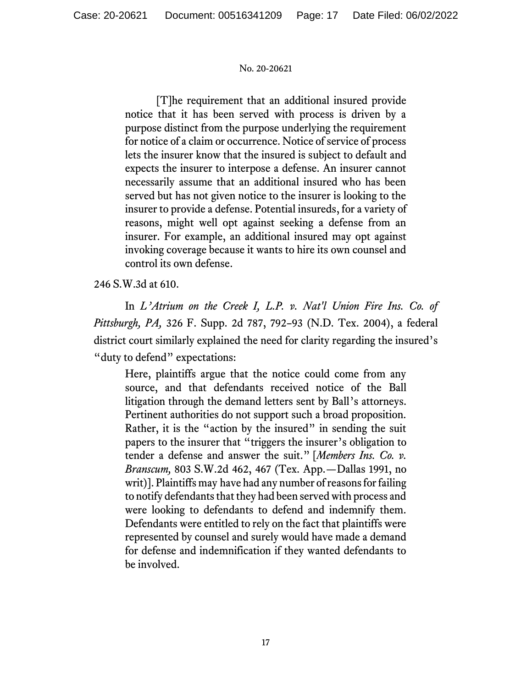[T]he requirement that an additional insured provide notice that it has been served with process is driven by a purpose distinct from the purpose underlying the requirement for notice of a claim or occurrence. Notice of service of process lets the insurer know that the insured is subject to default and expects the insurer to interpose a defense. An insurer cannot necessarily assume that an additional insured who has been served but has not given notice to the insurer is looking to the insurer to provide a defense. Potential insureds, for a variety of reasons, might well opt against seeking a defense from an insurer. For example, an additional insured may opt against invoking coverage because it wants to hire its own counsel and control its own defense.

246 S.W.3d at 610.

In *L'Atrium on the Creek I, L.P. v. Nat'l Union Fire Ins. Co. of Pittsburgh, PA,* 326 F. Supp. 2d 787, 792–93 (N.D. Tex. 2004), a federal district court similarly explained the need for clarity regarding the insured's "duty to defend" expectations:

Here, plaintiffs argue that the notice could come from any source, and that defendants received notice of the Ball litigation through the demand letters sent by Ball's attorneys. Pertinent authorities do not support such a broad proposition. Rather, it is the "action by the insured" in sending the suit papers to the insurer that "triggers the insurer's obligation to tender a defense and answer the suit." [*Members Ins. Co. v. Branscum,* 803 S.W.2d 462, 467 (Tex. App.—Dallas 1991, no writ)]. Plaintiffs may have had any number of reasons for failing to notify defendants that they had been served with process and were looking to defendants to defend and indemnify them. Defendants were entitled to rely on the fact that plaintiffs were represented by counsel and surely would have made a demand for defense and indemnification if they wanted defendants to be involved.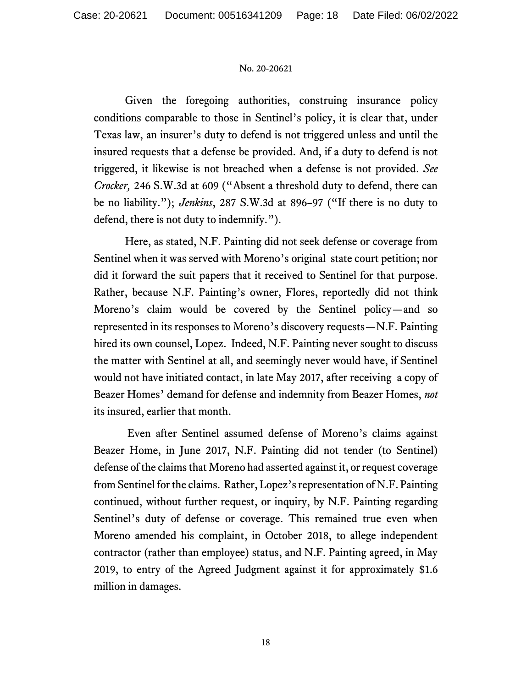Given the foregoing authorities, construing insurance policy conditions comparable to those in Sentinel's policy, it is clear that, under Texas law, an insurer's duty to defend is not triggered unless and until the insured requests that a defense be provided. And, if a duty to defend is not triggered, it likewise is not breached when a defense is not provided. *See Crocker,* 246 S.W.3d at 609 ("Absent a threshold duty to defend, there can be no liability."); *Jenkins*, 287 S.W.3d at 896–97 ("If there is no duty to defend, there is not duty to indemnify.").

Here, as stated, N.F. Painting did not seek defense or coverage from Sentinel when it was served with Moreno's original state court petition; nor did it forward the suit papers that it received to Sentinel for that purpose. Rather, because N.F. Painting's owner, Flores, reportedly did not think Moreno's claim would be covered by the Sentinel policy—and so represented in its responses to Moreno's discovery requests—N.F. Painting hired its own counsel, Lopez. Indeed, N.F. Painting never sought to discuss the matter with Sentinel at all, and seemingly never would have, if Sentinel would not have initiated contact, in late May 2017, after receiving a copy of Beazer Homes' demand for defense and indemnity from Beazer Homes, *not*  its insured, earlier that month.

Even after Sentinel assumed defense of Moreno's claims against Beazer Home, in June 2017, N.F. Painting did not tender (to Sentinel) defense of the claims that Moreno had asserted against it, or request coverage from Sentinel for the claims. Rather, Lopez'srepresentation of N.F. Painting continued, without further request, or inquiry, by N.F. Painting regarding Sentinel's duty of defense or coverage. This remained true even when Moreno amended his complaint, in October 2018, to allege independent contractor (rather than employee) status, and N.F. Painting agreed, in May 2019, to entry of the Agreed Judgment against it for approximately \$1.6 million in damages.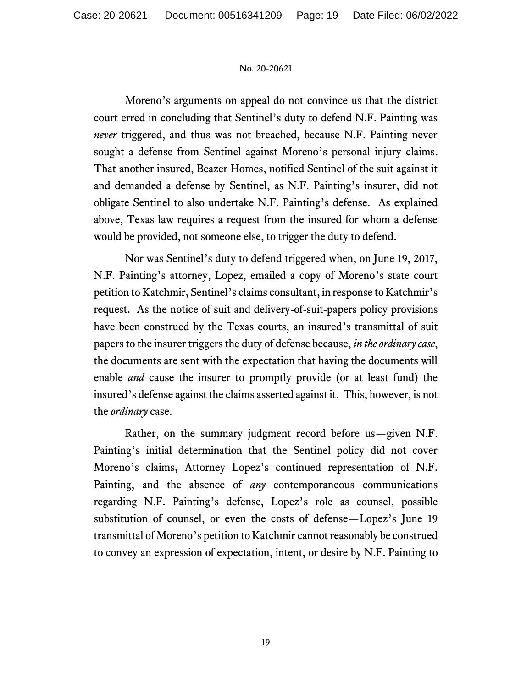Moreno's arguments on appeal do not convince us that the district court erred in concluding that Sentinel's duty to defend N.F. Painting was *never* triggered, and thus was not breached, because N.F. Painting never sought a defense from Sentinel against Moreno's personal injury claims. That another insured, Beazer Homes, notified Sentinel of the suit against it and demanded a defense by Sentinel, as N.F. Painting's insurer, did not obligate Sentinel to also undertake N.F. Painting's defense. As explained above, Texas law requires a request from the insured for whom a defense would be provided, not someone else, to trigger the duty to defend.

Nor was Sentinel's duty to defend triggered when, on June 19, 2017, N.F. Painting's attorney, Lopez, emailed a copy of Moreno's state court petition to Katchmir, Sentinel's claims consultant, in response to Katchmir's request. As the notice of suit and delivery-of-suit-papers policy provisions have been construed by the Texas courts, an insured's transmittal of suit papers to the insurer triggers the duty of defense because, *in the ordinary case*, the documents are sent with the expectation that having the documents will enable *and* cause the insurer to promptly provide (or at least fund) the insured's defense against the claims asserted against it. This, however, is not the *ordinary* case.

Rather, on the summary judgment record before us—given N.F. Painting's initial determination that the Sentinel policy did not cover Moreno's claims, Attorney Lopez's continued representation of N.F. Painting, and the absence of *any* contemporaneous communications regarding N.F. Painting's defense, Lopez's role as counsel, possible substitution of counsel, or even the costs of defense—Lopez's June 19 transmittal of Moreno's petition to Katchmir cannot reasonably be construed to convey an expression of expectation, intent, or desire by N.F. Painting to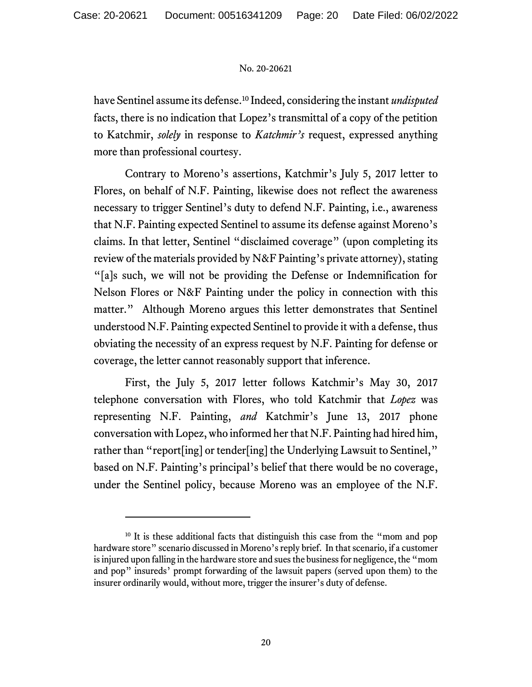have Sentinel assume its defense. <sup>10</sup> Indeed, considering the instant *undisputed* facts, there is no indication that Lopez's transmittal of a copy of the petition to Katchmir, *solely* in response to *Katchmir's* request, expressed anything more than professional courtesy.

Contrary to Moreno's assertions, Katchmir's July 5, 2017 letter to Flores, on behalf of N.F. Painting, likewise does not reflect the awareness necessary to trigger Sentinel's duty to defend N.F. Painting, i.e., awareness that N.F. Painting expected Sentinel to assume its defense against Moreno's claims. In that letter, Sentinel "disclaimed coverage" (upon completing its review of the materials provided by N&F Painting's private attorney), stating "[a]s such, we will not be providing the Defense or Indemnification for Nelson Flores or N&F Painting under the policy in connection with this matter." Although Moreno argues this letter demonstrates that Sentinel understood N.F. Painting expected Sentinel to provide it with a defense, thus obviating the necessity of an express request by N.F. Painting for defense or coverage, the letter cannot reasonably support that inference.

First, the July 5, 2017 letter follows Katchmir's May 30, 2017 telephone conversation with Flores, who told Katchmir that *Lopez* was representing N.F. Painting, *and* Katchmir's June 13, 2017 phone conversation with Lopez, who informed her that N.F. Painting had hired him, rather than "report[ing] or tender[ing] the Underlying Lawsuit to Sentinel," based on N.F. Painting's principal's belief that there would be no coverage, under the Sentinel policy, because Moreno was an employee of the N.F.

<sup>&</sup>lt;sup>10</sup> It is these additional facts that distinguish this case from the "mom and pop hardware store" scenario discussed in Moreno's reply brief. In that scenario, if a customer is injured upon falling in the hardware store and sues the business for negligence, the "mom and pop" insureds' prompt forwarding of the lawsuit papers (served upon them) to the insurer ordinarily would, without more, trigger the insurer's duty of defense.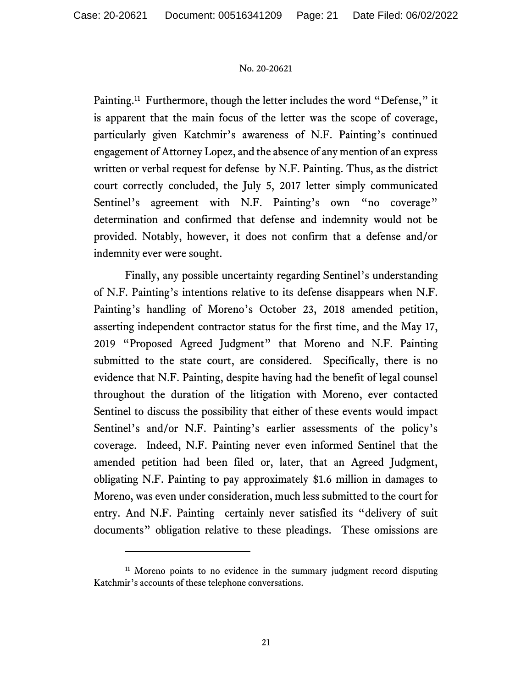Painting.<sup>11</sup> Furthermore, though the letter includes the word "Defense," it is apparent that the main focus of the letter was the scope of coverage, particularly given Katchmir's awareness of N.F. Painting's continued engagement of Attorney Lopez, and the absence of any mention of an express written or verbal request for defense by N.F. Painting. Thus, as the district court correctly concluded, the July 5, 2017 letter simply communicated Sentinel's agreement with N.F. Painting's own "no coverage" determination and confirmed that defense and indemnity would not be provided. Notably, however, it does not confirm that a defense and/or indemnity ever were sought.

Finally, any possible uncertainty regarding Sentinel's understanding of N.F. Painting's intentions relative to its defense disappears when N.F. Painting's handling of Moreno's October 23, 2018 amended petition, asserting independent contractor status for the first time, and the May 17, 2019 "Proposed Agreed Judgment" that Moreno and N.F. Painting submitted to the state court, are considered. Specifically, there is no evidence that N.F. Painting, despite having had the benefit of legal counsel throughout the duration of the litigation with Moreno, ever contacted Sentinel to discuss the possibility that either of these events would impact Sentinel's and/or N.F. Painting's earlier assessments of the policy's coverage. Indeed, N.F. Painting never even informed Sentinel that the amended petition had been filed or, later, that an Agreed Judgment, obligating N.F. Painting to pay approximately \$1.6 million in damages to Moreno, was even under consideration, much less submitted to the court for entry. And N.F. Painting certainly never satisfied its "delivery of suit documents" obligation relative to these pleadings. These omissions are

<sup>&</sup>lt;sup>11</sup> Moreno points to no evidence in the summary judgment record disputing Katchmir's accounts of these telephone conversations.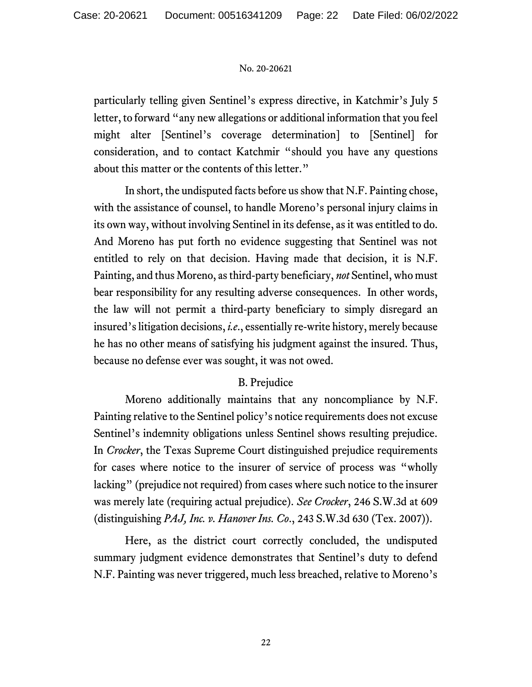particularly telling given Sentinel's express directive, in Katchmir's July 5 letter, to forward "any new allegations or additional information that you feel might alter [Sentinel's coverage determination] to [Sentinel] for consideration, and to contact Katchmir "should you have any questions about this matter or the contents of this letter."

In short, the undisputed facts before us show that N.F. Painting chose, with the assistance of counsel, to handle Moreno's personal injury claims in its own way, without involving Sentinel in its defense, as it was entitled to do. And Moreno has put forth no evidence suggesting that Sentinel was not entitled to rely on that decision. Having made that decision, it is N.F. Painting, and thus Moreno, as third-party beneficiary, *not* Sentinel, who must bear responsibility for any resulting adverse consequences. In other words, the law will not permit a third-party beneficiary to simply disregard an insured's litigation decisions, *i.e*., essentially re-write history, merely because he has no other means of satisfying his judgment against the insured. Thus, because no defense ever was sought, it was not owed.

# B. Prejudice

Moreno additionally maintains that any noncompliance by N.F. Painting relative to the Sentinel policy's notice requirements does not excuse Sentinel's indemnity obligations unless Sentinel shows resulting prejudice. In *Crocker*, the Texas Supreme Court distinguished prejudice requirements for cases where notice to the insurer of service of process was "wholly lacking" (prejudice not required) from cases where such notice to the insurer was merely late (requiring actual prejudice). *See Crocker*, 246 S.W.3d at 609 (distinguishing *PAJ, Inc. v. Hanover Ins. Co*., 243 S.W.3d 630 (Tex. 2007)).

Here, as the district court correctly concluded, the undisputed summary judgment evidence demonstrates that Sentinel's duty to defend N.F. Painting was never triggered, much less breached, relative to Moreno's